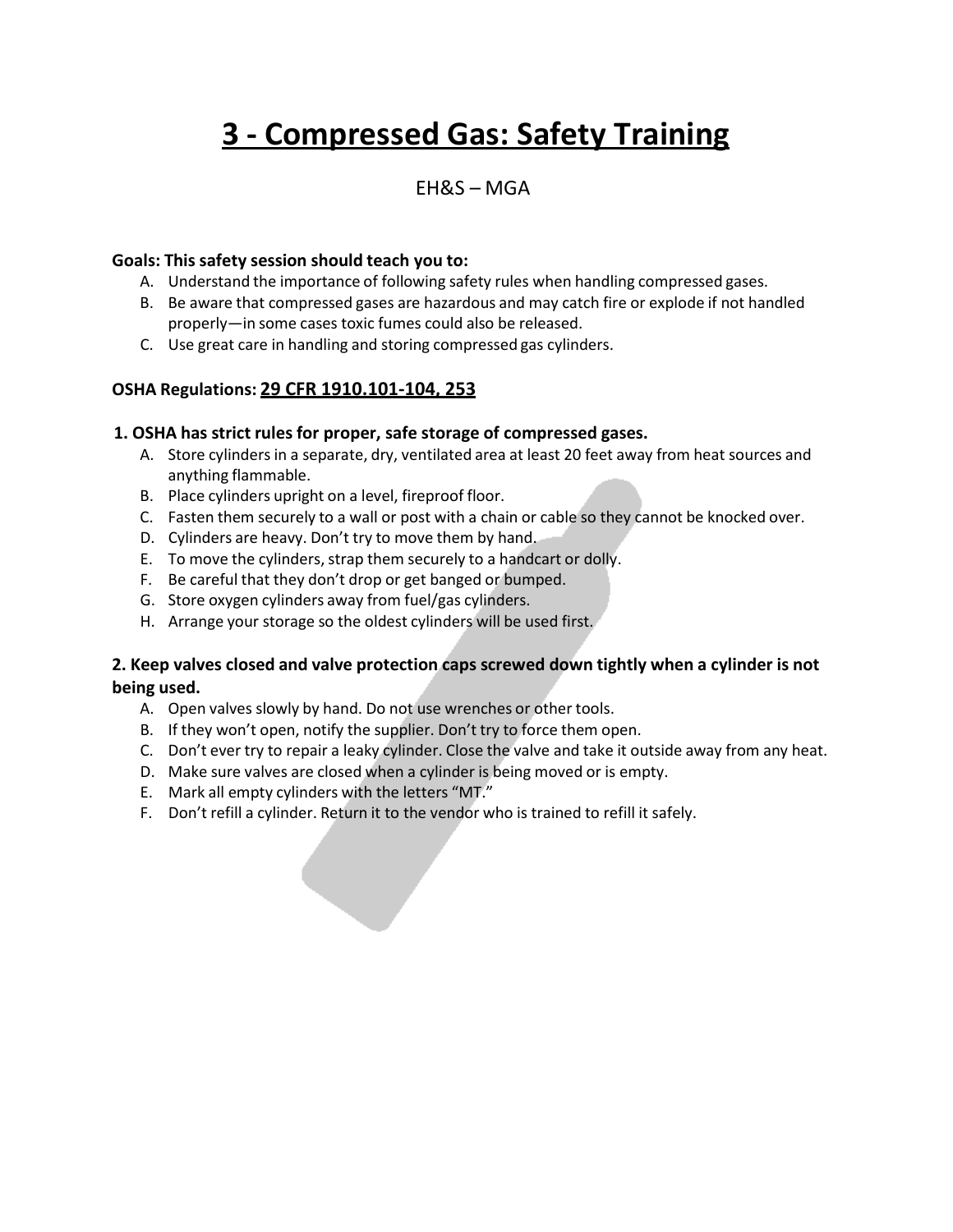# **3 - Compressed Gas: Safety Training**

# EH&S – MGA

#### **Goals: This safety session should teach you to:**

- A. Understand the importance of following safety rules when handling compressed gases.
- B. Be aware that compressed gases are hazardous and may catch fire or explode if not handled properly—in some cases toxic fumes could also be released.
- C. Use great care in handling and storing compressed gas cylinders.

### **OSHA Regulations: 29 CFR 1910.101-104, 253**

#### **1. OSHA has strict rules for proper, safe storage of compressed gases.**

- A. Store cylinders in a separate, dry, ventilated area at least 20 feet away from heat sources and anything flammable.
- B. Place cylinders upright on a level, fireproof floor.
- C. Fasten them securely to a wall or post with a chain or cable so they cannot be knocked over.
- D. Cylinders are heavy. Don't try to move them by hand.
- E. To move the cylinders, strap them securely to a handcart or dolly.
- F. Be careful that they don't drop or get banged or bumped.
- G. Store oxygen cylinders away from fuel/gas cylinders.
- H. Arrange your storage so the oldest cylinders will be used first.

#### **2. Keep valves closed and valve protection caps screwed down tightly when a cylinder is not being used.**

- A. Open valves slowly by hand. Do not use wrenches or other tools.
- B. If they won't open, notify the supplier. Don't try to force them open.
- C. Don't ever try to repair a leaky cylinder. Close the valve and take it outside away from any heat.
- D. Make sure valves are closed when a cylinder is being moved or is empty.
- E. Mark all empty cylinders with the letters "MT."
- F. Don't refill a cylinder. Return it to the vendor who is trained to refill it safely.